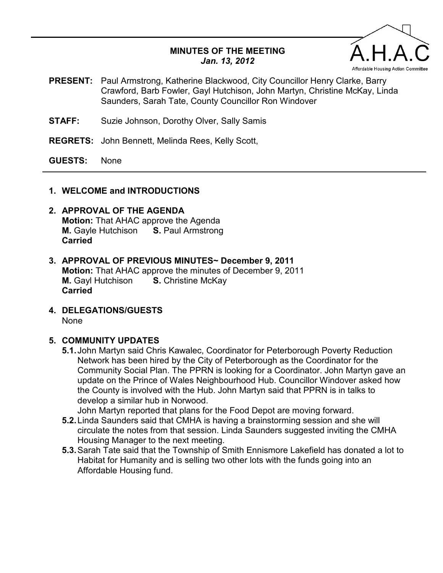#### **MINUTES OF THE MEETING**  *Jan. 13, 2012*



- **PRESENT:** Paul Armstrong, Katherine Blackwood, City Councillor Henry Clarke, Barry Crawford, Barb Fowler, Gayl Hutchison, John Martyn, Christine McKay, Linda Saunders, Sarah Tate, County Councillor Ron Windover
- **STAFF:** Suzie Johnson, Dorothy Olver, Sally Samis
- **REGRETS:** John Bennett, Melinda Rees, Kelly Scott,

**GUESTS:** None

#### **1. WELCOME and INTRODUCTIONS**

# **2. APPROVAL OF THE AGENDA**

**Motion:** That AHAC approve the Agenda<br>**M.** Gayle Hutchison **S.** Paul Armstrong **M.** Gayle Hutchison **Carried** 

- **3. APPROVAL OF PREVIOUS MINUTES~ December 9, 2011 Motion:** That AHAC approve the minutes of December 9, 2011 **M.** Gayl Hutchison **S.** Christine McKay **Carried**
- **4. DELEGATIONS/GUESTS**  None

#### **5. COMMUNITY UPDATES**

**5.1.** John Martyn said Chris Kawalec, Coordinator for Peterborough Poverty Reduction Network has been hired by the City of Peterborough as the Coordinator for the Community Social Plan. The PPRN is looking for a Coordinator. John Martyn gave an update on the Prince of Wales Neighbourhood Hub. Councillor Windover asked how the County is involved with the Hub. John Martyn said that PPRN is in talks to develop a similar hub in Norwood.

John Martyn reported that plans for the Food Depot are moving forward.

- **5.2.** Linda Saunders said that CMHA is having a brainstorming session and she will circulate the notes from that session. Linda Saunders suggested inviting the CMHA Housing Manager to the next meeting.
- **5.3.** Sarah Tate said that the Township of Smith Ennismore Lakefield has donated a lot to Habitat for Humanity and is selling two other lots with the funds going into an Affordable Housing fund.